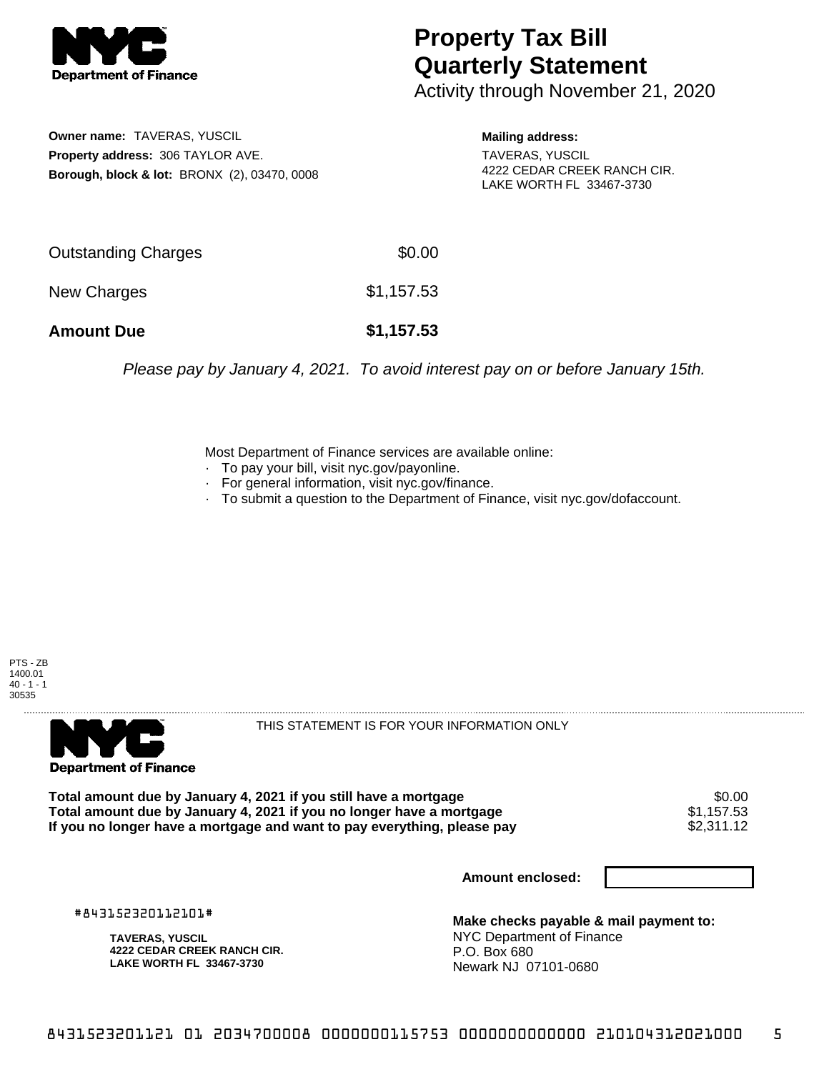

## **Property Tax Bill Quarterly Statement**

Activity through November 21, 2020

**Owner name:** TAVERAS, YUSCIL **Property address:** 306 TAYLOR AVE. **Borough, block & lot:** BRONX (2), 03470, 0008 **Mailing address:**

TAVERAS, YUSCIL 4222 CEDAR CREEK RANCH CIR. LAKE WORTH FL 33467-3730

| <b>Amount Due</b>   | \$1,157.53 |
|---------------------|------------|
| New Charges         | \$1,157.53 |
| Outstanding Charges | \$0.00     |

Please pay by January 4, 2021. To avoid interest pay on or before January 15th.

Most Department of Finance services are available online:

- · To pay your bill, visit nyc.gov/payonline.
- For general information, visit nyc.gov/finance.
- · To submit a question to the Department of Finance, visit nyc.gov/dofaccount.





THIS STATEMENT IS FOR YOUR INFORMATION ONLY

Total amount due by January 4, 2021 if you still have a mortgage \$0.00<br>Total amount due by January 4, 2021 if you no longer have a mortgage \$1.157.53 **Total amount due by January 4, 2021 if you no longer have a mortgage**  $$1,157.53$ **<br>If you no longer have a mortgage and want to pay everything, please pay <b>show that the summan set of the s**2,311.12 If you no longer have a mortgage and want to pay everything, please pay

**Amount enclosed:**

#843152320112101#

**TAVERAS, YUSCIL 4222 CEDAR CREEK RANCH CIR. LAKE WORTH FL 33467-3730**

**Make checks payable & mail payment to:** NYC Department of Finance P.O. Box 680 Newark NJ 07101-0680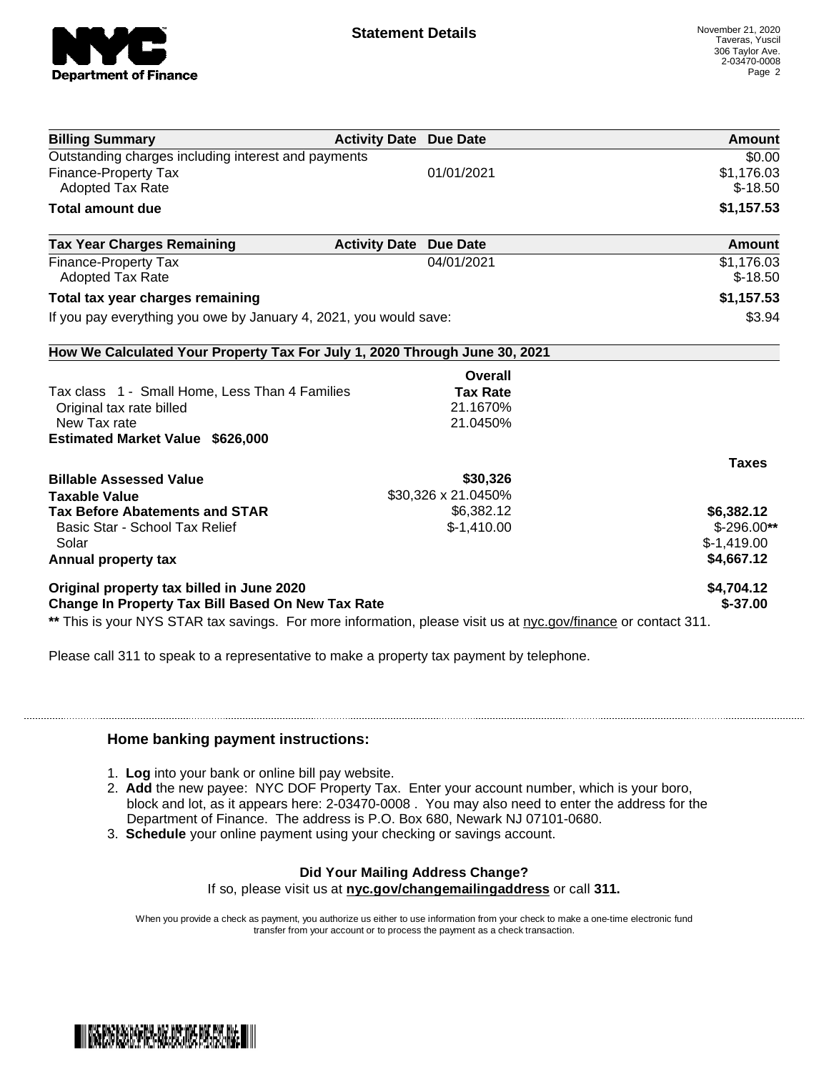

| <b>Billing Summary</b>                                                                                         | <b>Activity Date Due Date</b> | Amount       |
|----------------------------------------------------------------------------------------------------------------|-------------------------------|--------------|
| Outstanding charges including interest and payments                                                            |                               | \$0.00       |
| Finance-Property Tax                                                                                           | 01/01/2021                    | \$1,176.03   |
| <b>Adopted Tax Rate</b>                                                                                        |                               | $$-18.50$    |
| <b>Total amount due</b>                                                                                        |                               | \$1,157.53   |
| <b>Tax Year Charges Remaining</b>                                                                              | <b>Activity Date Due Date</b> | Amount       |
| Finance-Property Tax                                                                                           | 04/01/2021                    | \$1,176.03   |
| <b>Adopted Tax Rate</b>                                                                                        |                               | $$-18.50$    |
| Total tax year charges remaining                                                                               |                               | \$1,157.53   |
| If you pay everything you owe by January 4, 2021, you would save:                                              |                               | \$3.94       |
| How We Calculated Your Property Tax For July 1, 2020 Through June 30, 2021                                     |                               |              |
|                                                                                                                | Overall                       |              |
| Tax class 1 - Small Home, Less Than 4 Families                                                                 | <b>Tax Rate</b>               |              |
| Original tax rate billed                                                                                       | 21.1670%                      |              |
| New Tax rate                                                                                                   | 21.0450%                      |              |
| <b>Estimated Market Value \$626,000</b>                                                                        |                               |              |
|                                                                                                                |                               | <b>Taxes</b> |
| <b>Billable Assessed Value</b>                                                                                 | \$30,326                      |              |
| <b>Taxable Value</b>                                                                                           | \$30,326 x 21.0450%           |              |
| <b>Tax Before Abatements and STAR</b>                                                                          | \$6,382.12                    | \$6,382.12   |
| Basic Star - School Tax Relief                                                                                 | $$-1,410.00$                  | $$-296.00**$ |
| Solar                                                                                                          |                               | $$-1,419.00$ |
| Annual property tax                                                                                            |                               | \$4,667.12   |
| Original property tax billed in June 2020                                                                      |                               | \$4,704.12   |
| <b>Change In Property Tax Bill Based On New Tax Rate</b>                                                       |                               | $$-37.00$    |
| ** This is your NYS STAR tax savings. For more information, please visit us at nyc.gov/finance or contact 311. |                               |              |

Please call 311 to speak to a representative to make a property tax payment by telephone.

## **Home banking payment instructions:**

- 1. **Log** into your bank or online bill pay website.
- 2. **Add** the new payee: NYC DOF Property Tax. Enter your account number, which is your boro, block and lot, as it appears here: 2-03470-0008 . You may also need to enter the address for the Department of Finance. The address is P.O. Box 680, Newark NJ 07101-0680.
- 3. **Schedule** your online payment using your checking or savings account.

## **Did Your Mailing Address Change?**

If so, please visit us at **nyc.gov/changemailingaddress** or call **311.**

When you provide a check as payment, you authorize us either to use information from your check to make a one-time electronic fund transfer from your account or to process the payment as a check transaction.